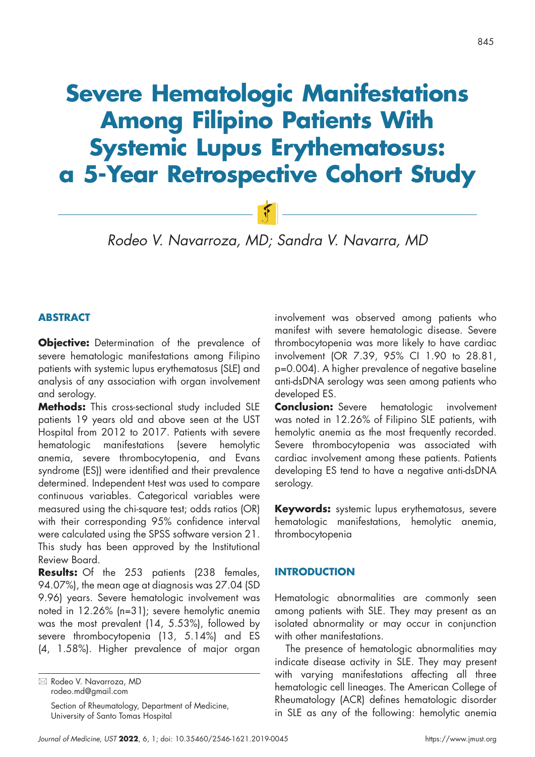# **Severe Hematologic Manifestations Among Filipino Patients With Systemic Lupus Erythematosus: a 5-Year Retrospective Cohort Study**

*Rodeo V. Navarroza, MD; Sandra V. Navarra, MD*

 $F$ 

## **ABSTRACT**

**Objective:** Determination of the prevalence of severe hematologic manifestations among Filipino patients with systemic lupus erythematosus (SLE) and analysis of any association with organ involvement and serology.

**Methods:** This cross-sectional study included SLE patients 19 years old and above seen at the UST Hospital from 2012 to 2017. Patients with severe hematologic manifestations (severe hemolytic anemia, severe thrombocytopenia, and Evans syndrome (ES)) were identified and their prevalence determined. Independent t-test was used to compare continuous variables. Categorical variables were measured using the chi-square test; odds ratios (OR) with their corresponding 95% confidence interval were calculated using the SPSS software version 21. This study has been approved by the Institutional Review Board.

**Results:** Of the 253 patients (238 females, 94.07%), the mean age at diagnosis was 27.04 (SD 9.96) years. Severe hematologic involvement was noted in 12.26% (n=31); severe hemolytic anemia was the most prevalent (14, 5.53%), followed by severe thrombocytopenia (13, 5.14%) and ES (4, 1.58%). Higher prevalence of major organ

Section of Rheumatology, Department of Medicine, University of Santo Tomas Hospital

involvement was observed among patients who manifest with severe hematologic disease. Severe thrombocytopenia was more likely to have cardiac involvement (OR 7.39, 95% CI 1.90 to 28.81, p=0.004). A higher prevalence of negative baseline anti-dsDNA serology was seen among patients who developed ES.

**Conclusion:** Severe hematologic involvement was noted in 12.26% of Filipino SLE patients, with hemolytic anemia as the most frequently recorded. Severe thrombocytopenia was associated with cardiac involvement among these patients. Patients developing ES tend to have a negative anti-dsDNA serology.

**Keywords:** systemic lupus erythematosus, severe hematologic manifestations, hemolytic anemia, thrombocytopenia

### **INTRODUCTION**

Hematologic abnormalities are commonly seen among patients with SLE. They may present as an isolated abnormality or may occur in conjunction with other manifestations.

The presence of hematologic abnormalities may indicate disease activity in SLE. They may present with varying manifestations affecting all three hematologic cell lineages. The American College of Rheumatology (ACR) defines hematologic disorder in SLE as any of the following: hemolytic anemia

 Rodeo V. Navarroza, MD rodeo.md@gmail.com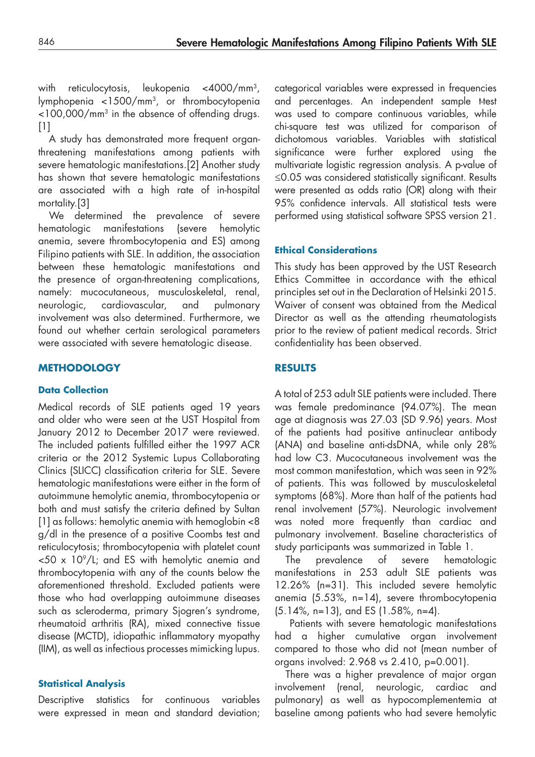with reticulocytosis, leukopenia <4000/mm3, lymphopenia <1500/mm3, or thrombocytopenia  $<$ 100,000/mm<sup>3</sup> in the absence of offending drugs. [1]

A study has demonstrated more frequent organthreatening manifestations among patients with severe hematologic manifestations.[2] Another study has shown that severe hematologic manifestations are associated with a high rate of in-hospital mortality.[3]

We determined the prevalence of severe hematologic manifestations (severe hemolytic anemia, severe thrombocytopenia and ES) among Filipino patients with SLE. In addition, the association between these hematologic manifestations and the presence of organ-threatening complications, namely: mucocutaneous, musculoskeletal, renal, neurologic, cardiovascular, and pulmonary involvement was also determined. Furthermore, we found out whether certain serological parameters were associated with severe hematologic disease.

## **METHODOLOGY**

## **Data Collection**

Medical records of SLE patients aged 19 years and older who were seen at the UST Hospital from January 2012 to December 2017 were reviewed. The included patients fulfilled either the 1997 ACR criteria or the 2012 Systemic Lupus Collaborating Clinics (SLICC) classification criteria for SLE. Severe hematologic manifestations were either in the form of autoimmune hemolytic anemia, thrombocytopenia or both and must satisfy the criteria defined by Sultan [1] as follows: hemolytic anemia with hemoglobin <8 g/dl in the presence of a positive Coombs test and reticulocytosis; thrombocytopenia with platelet count  $<$  50 x 10<sup>9</sup>/L; and ES with hemolytic anemia and thrombocytopenia with any of the counts below the aforementioned threshold. Excluded patients were those who had overlapping autoimmune diseases such as scleroderma, primary Sjogren's syndrome, rheumatoid arthritis (RA), mixed connective tissue disease (MCTD), idiopathic inflammatory myopathy (IIM), as well as infectious processes mimicking lupus.

## **Statistical Analysis**

Descriptive statistics for continuous variables were expressed in mean and standard deviation; categorical variables were expressed in frequencies and percentages. An independent sample t-test was used to compare continuous variables, while chi-square test was utilized for comparison of dichotomous variables. Variables with statistical significance were further explored using the multivariate logistic regression analysis. A p-value of ≤0.05 was considered statistically significant. Results were presented as odds ratio (OR) along with their 95% confidence intervals. All statistical tests were performed using statistical software SPSS version 21.

## **Ethical Considerations**

This study has been approved by the UST Research Ethics Committee in accordance with the ethical principles set out in the Declaration of Helsinki 2015. Waiver of consent was obtained from the Medical Director as well as the attending rheumatologists prior to the review of patient medical records. Strict confidentiality has been observed.

## **RESULTS**

A total of 253 adult SLE patients were included. There was female predominance (94.07%). The mean age at diagnosis was 27.03 (SD 9.96) years. Most of the patients had positive antinuclear antibody (ANA) and baseline anti-dsDNA, while only 28% had low C3. Mucocutaneous involvement was the most common manifestation, which was seen in 92% of patients. This was followed by musculoskeletal symptoms (68%). More than half of the patients had renal involvement (57%). Neurologic involvement was noted more frequently than cardiac and pulmonary involvement. Baseline characteristics of study participants was summarized in Table 1.

The prevalence of severe hematologic manifestations in 253 adult SLE patients was 12.26% (n=31). This included severe hemolytic anemia (5.53%, n=14), severe thrombocytopenia (5.14%, n=13), and ES (1.58%, n=4).

 Patients with severe hematologic manifestations had a higher cumulative organ involvement compared to those who did not (mean number of organs involved: 2.968 vs 2.410, p=0.001).

There was a higher prevalence of major organ involvement (renal, neurologic, cardiac and pulmonary) as well as hypocomplementemia at baseline among patients who had severe hemolytic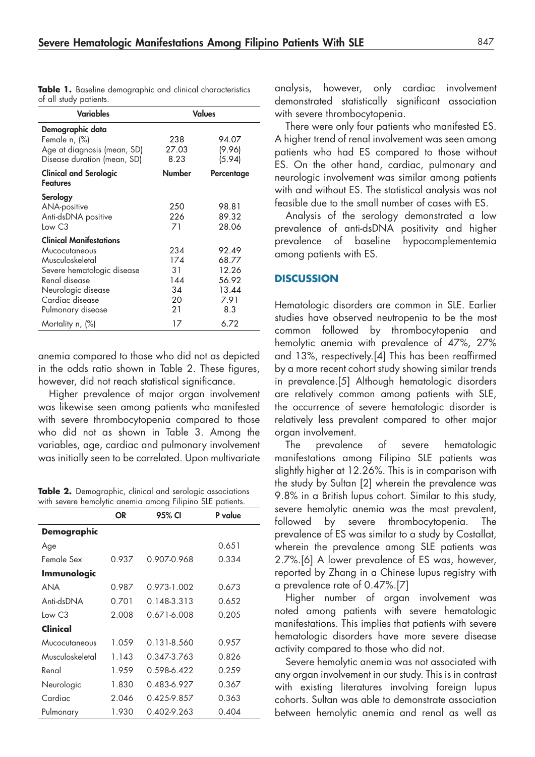| <b>Variables</b>                                                                                                                                                                | <b>Values</b>                             |                                                          |  |
|---------------------------------------------------------------------------------------------------------------------------------------------------------------------------------|-------------------------------------------|----------------------------------------------------------|--|
| Demographic data<br>Female n, (%)<br>Age at diagnosis (mean, SD)<br>Disease duration (mean, SD)                                                                                 | 238<br>27.03<br>8.23                      | 94.07<br>(9.96)<br>(5.94)                                |  |
| <b>Clinical and Serologic</b><br><b>Features</b>                                                                                                                                | <b>Number</b>                             | Percentage                                               |  |
| Serology<br>ANA-positive<br>Anti-dsDNA positive<br>Low C3                                                                                                                       | 250<br>226<br>71                          | 98.81<br>89.32<br>28.06                                  |  |
| <b>Clinical Manifestations</b><br>Mucocutaneous<br>Musculoskeletal<br>Severe hematologic disease<br>Renal disease<br>Neurologic disease<br>Cardiac disease<br>Pulmonary disease | 234<br>174<br>31<br>144<br>34<br>20<br>21 | 92.49<br>68.77<br>12.26<br>56.92<br>13.44<br>7.91<br>8.3 |  |
| Mortality n, (%)                                                                                                                                                                | 17                                        | 6.72                                                     |  |

**Table 1.** Baseline demographic and clinical characteristics of all study patients.

anemia compared to those who did not as depicted in the odds ratio shown in Table 2. These figures, however, did not reach statistical significance.

Higher prevalence of major organ involvement was likewise seen among patients who manifested with severe thrombocytopenia compared to those who did not as shown in Table 3. Among the variables, age, cardiac and pulmonary involvement was initially seen to be correlated. Upon multivariate

**Table 2.** Demographic, clinical and serologic associations with severe hemolytic anemia among Filipino SLE patients.

|                    | OR    | 95% CI               | P value |
|--------------------|-------|----------------------|---------|
| <b>Demographic</b> |       |                      |         |
| Age                |       |                      | 0.651   |
| Female Sex         | 0.937 | 0.907-0.968<br>0.334 |         |
| Immunologic        |       |                      |         |
| ANA                | 0.987 | 0.973-1.002          | 0.673   |
| Anti-dsDNA         | 0.701 | 0.148-3.313          | 0.652   |
| Tow C3             | 2.008 | 0.671-6.008          | 0.205   |
| Clinical           |       |                      |         |
| Mucocutaneous      | 1.059 | 0.131-8.560          | 0.957   |
| Musculoskeletal    | 1.143 | 0.347-3.763          | 0.826   |
| Renal              | 1.959 | 0.598-6.422          | 0.259   |
| Neurologic         | 1.830 | 0.483-6.927          | 0.367   |
| Cardiac            | 2.046 | 0.425-9.857          | 0.363   |
| Pulmonary          | 1.930 | 0.402-9.263          | 0.404   |

analysis, however, only cardiac involvement demonstrated statistically significant association with severe thrombocytopenia.

There were only four patients who manifested ES. A higher trend of renal involvement was seen among patients who had ES compared to those without ES. On the other hand, cardiac, pulmonary and neurologic involvement was similar among patients with and without ES. The statistical analysis was not feasible due to the small number of cases with ES.

Analysis of the serology demonstrated a low prevalence of anti-dsDNA positivity and higher prevalence of baseline hypocomplementemia among patients with ES.

#### **DISCUSSION**

Hematologic disorders are common in SLE. Earlier studies have observed neutropenia to be the most common followed by thrombocytopenia and hemolytic anemia with prevalence of 47%, 27% and 13%, respectively.[4] This has been reaffirmed by a more recent cohort study showing similar trends in prevalence.[5] Although hematologic disorders are relatively common among patients with SLE, the occurrence of severe hematologic disorder is relatively less prevalent compared to other major organ involvement.

The prevalence of severe hematologic manifestations among Filipino SLE patients was slightly higher at 12.26%. This is in comparison with the study by Sultan [2] wherein the prevalence was 9.8% in a British lupus cohort. Similar to this study, severe hemolytic anemia was the most prevalent, followed by severe thrombocytopenia. The prevalence of ES was similar to a study by Costallat, wherein the prevalence among SLE patients was 2.7%.[6] A lower prevalence of ES was, however, reported by Zhang in a Chinese lupus registry with a prevalence rate of 0.47%.[7]

Higher number of organ involvement was noted among patients with severe hematologic manifestations. This implies that patients with severe hematologic disorders have more severe disease activity compared to those who did not.

Severe hemolytic anemia was not associated with any organ involvement in our study. This is in contrast with existing literatures involving foreign lupus cohorts. Sultan was able to demonstrate association between hemolytic anemia and renal as well as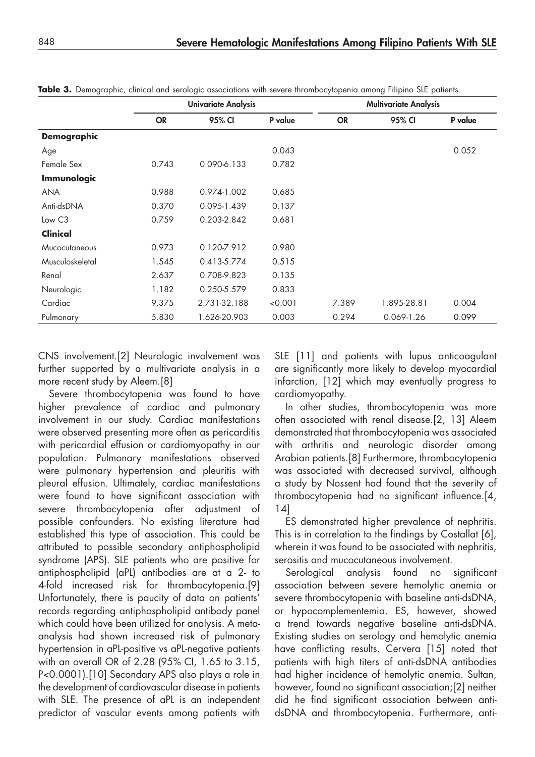|                    | <b>Univariate Analysis</b> |              |         | <b>Multivariate Analysis</b> |             |         |
|--------------------|----------------------------|--------------|---------|------------------------------|-------------|---------|
|                    | <b>OR</b>                  | 95% CI       | P value | <b>OR</b>                    | 95% CI      | P value |
| <b>Demographic</b> |                            |              |         |                              |             |         |
| Age                |                            |              | 0.043   |                              |             | 0.052   |
| Female Sex         | 0.743                      | 0.090-6.133  | 0.782   |                              |             |         |
| <b>Immunologic</b> |                            |              |         |                              |             |         |
| <b>ANA</b>         | 0.988                      | 0.974-1.002  | 0.685   |                              |             |         |
| Anti-dsDNA         | 0.370                      | 0.095-1.439  | 0.137   |                              |             |         |
| Low C3             | 0.759                      | 0.203-2.842  | 0.681   |                              |             |         |
| Clinical           |                            |              |         |                              |             |         |
| Mucocutaneous      | 0.973                      | 0.120-7.912  | 0.980   |                              |             |         |
| Musculoskeletal    | 1.545                      | 0.413-5.774  | 0.515   |                              |             |         |
| Renal              | 2.637                      | 0.708-9.823  | 0.135   |                              |             |         |
| Neurologic         | 1.182                      | 0.250-5.579  | 0.833   |                              |             |         |
| Cardiac            | 9.375                      | 2.731-32.188 | < 0.001 | 7.389                        | 1.895-28.81 | 0.004   |
| Pulmonary          | 5.830                      | 1.626-20.903 | 0.003   | 0.294                        | 0.069-1.26  | 0.099   |

**Table 3.** Demographic, clinical and serologic associations with severe thrombocytopenia among Filipino SLE patients.

CNS involvement.[2] Neurologic involvement was further supported by a multivariate analysis in a more recent study by Aleem.[8]

Severe thrombocytopenia was found to have higher prevalence of cardiac and pulmonary involvement in our study. Cardiac manifestations were observed presenting more often as pericarditis with pericardial effusion or cardiomyopathy in our population. Pulmonary manifestations observed were pulmonary hypertension and pleuritis with pleural effusion. Ultimately, cardiac manifestations were found to have significant association with severe thrombocytopenia after adjustment of possible confounders. No existing literature had established this type of association. This could be attributed to possible secondary antiphospholipid syndrome (APS). SLE patients who are positive for antiphospholipid (aPL) antibodies are at a 2- to 4-fold increased risk for thrombocytopenia.[9] Unfortunately, there is paucity of data on patients' records regarding antiphospholipid antibody panel which could have been utilized for analysis. A metaanalysis had shown increased risk of pulmonary hypertension in aPL-positive vs aPL-negative patients with an overall OR of 2.28 (95% CI, 1.65 to 3.15, P<0.0001).[10] Secondary APS also plays a role in the development of cardiovascular disease in patients with SLE. The presence of aPL is an independent predictor of vascular events among patients with

SLE [11] and patients with lupus anticoagulant are significantly more likely to develop myocardial infarction, [12] which may eventually progress to cardiomyopathy.

In other studies, thrombocytopenia was more often associated with renal disease.[2, 13] Aleem demonstrated that thrombocytopenia was associated with arthritis and neurologic disorder among Arabian patients.[8] Furthermore, thrombocytopenia was associated with decreased survival, although a study by Nossent had found that the severity of thrombocytopenia had no significant influence.[4, 14]

ES demonstrated higher prevalence of nephritis. This is in correlation to the findings by Costallat [6], wherein it was found to be associated with nephritis, serositis and mucocutaneous involvement.

Serological analysis found no significant association between severe hemolytic anemia or severe thrombocytopenia with baseline anti-dsDNA, or hypocomplementemia. ES, however, showed a trend towards negative baseline anti-dsDNA. Existing studies on serology and hemolytic anemia have conflicting results. Cervera [15] noted that patients with high titers of anti-dsDNA antibodies had higher incidence of hemolytic anemia. Sultan, however, found no significant association;[2] neither did he find significant association between antidsDNA and thrombocytopenia. Furthermore, anti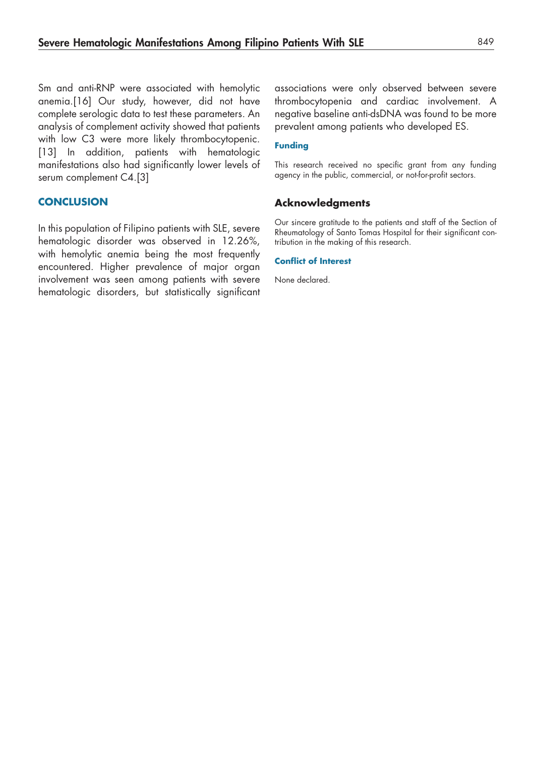Sm and anti-RNP were associated with hemolytic anemia.[16] Our study, however, did not have complete serologic data to test these parameters. An analysis of complement activity showed that patients with low C3 were more likely thrombocytopenic. [13] In addition, patients with hematologic manifestations also had significantly lower levels of serum complement C4.[3]

#### **CONCLUSION**

In this population of Filipino patients with SLE, severe hematologic disorder was observed in 12.26%, with hemolytic anemia being the most frequently encountered. Higher prevalence of major organ involvement was seen among patients with severe hematologic disorders, but statistically significant

associations were only observed between severe thrombocytopenia and cardiac involvement. A negative baseline anti-dsDNA was found to be more prevalent among patients who developed ES.

#### **Funding**

This research received no specific grant from any funding agency in the public, commercial, or not-for-profit sectors.

#### **Acknowledgments**

Our sincere gratitude to the patients and staff of the Section of Rheumatology of Santo Tomas Hospital for their significant contribution in the making of this research.

#### **Conflict of Interest**

None declared.